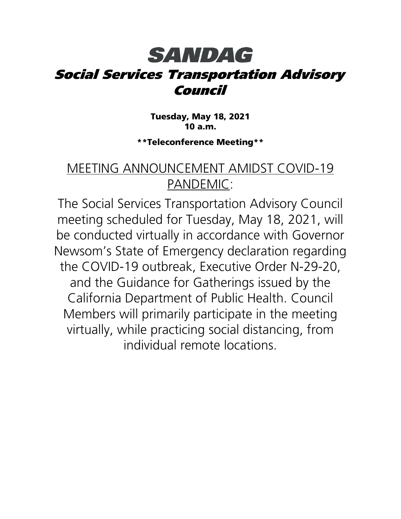## **SANDAG** Social Services Transportation Advisory Council

Tuesday, May 18, 2021 10 a.m.

\*\*Teleconference Meeting\*\*

#### MEETING ANNOUNCEMENT AMIDST COVID-19 PANDEMIC:

The Social Services Transportation Advisory Council meeting scheduled for Tuesday, May 18, 2021, will be conducted virtually in accordance with Governor Newsom's State of Emergency declaration regarding the COVID-19 outbreak, Executive Order N-29-20, and the Guidance for Gatherings issued by the California Department of Public Health. Council Members will primarily participate in the meeting virtually, while practicing social distancing, from individual remote locations.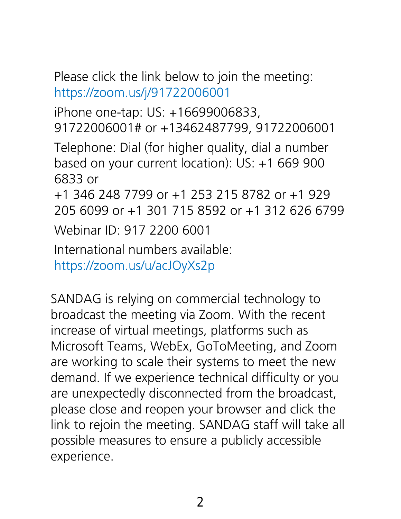Please click the link below to join the meeting: <https://zoom.us/j/91722006001>

iPhone one-tap: US: +16699006833, 91722006001# or +13462487799, 91722006001 Telephone: Dial (for higher quality, dial a number based on your current location): US: +1 669 900 6833 or +1 346 248 7799 or +1 253 215 8782 or +1 929 205 6099 or +1 301 715 8592 or +1 312 626 6799 Webinar ID: 917 2200 6001 International numbers available:

<https://zoom.us/u/acJOyXs2p>

SANDAG is relying on commercial technology to broadcast the meeting via Zoom. With the recent increase of virtual meetings, platforms such as Microsoft Teams, WebEx, GoToMeeting, and Zoom are working to scale their systems to meet the new demand. If we experience technical difficulty or you are unexpectedly disconnected from the broadcast, please close and reopen your browser and click the link to rejoin the meeting. SANDAG staff will take all possible measures to ensure a publicly accessible experience.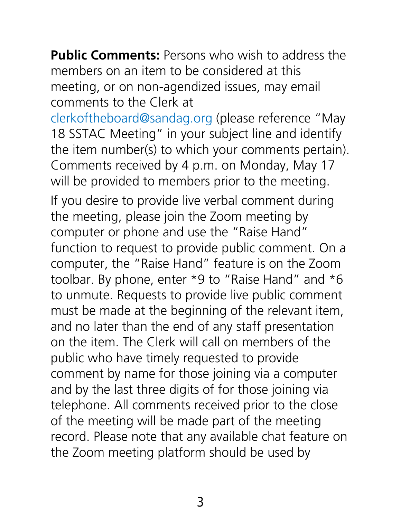**Public Comments:** Persons who wish to address the members on an item to be considered at this meeting, or on non-agendized issues, may email comments to the Clerk at

[clerkoftheboard@sandag.org](mailto:clerkoftheboard@sandag.org) (please reference "May 18 SSTAC Meeting" in your subject line and identify the item number(s) to which your comments pertain). Comments received by 4 p.m. on Monday, May 17 will be provided to members prior to the meeting.

If you desire to provide live verbal comment during the meeting, please join the Zoom meeting by computer or phone and use the "Raise Hand" function to request to provide public comment. On a computer, the "Raise Hand" feature is on the Zoom toolbar. By phone, enter \*9 to "Raise Hand" and \*6 to unmute. Requests to provide live public comment must be made at the beginning of the relevant item, and no later than the end of any staff presentation on the item. The Clerk will call on members of the public who have timely requested to provide comment by name for those joining via a computer and by the last three digits of for those joining via telephone. All comments received prior to the close of the meeting will be made part of the meeting record. Please note that any available chat feature on the Zoom meeting platform should be used by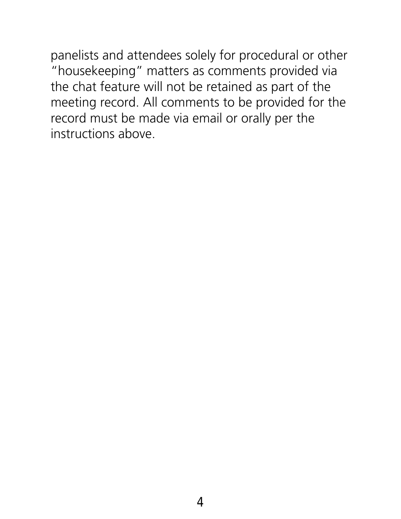panelists and attendees solely for procedural or other "housekeeping" matters as comments provided via the chat feature will not be retained as part of the meeting record. All comments to be provided for the record must be made via email or orally per the instructions above.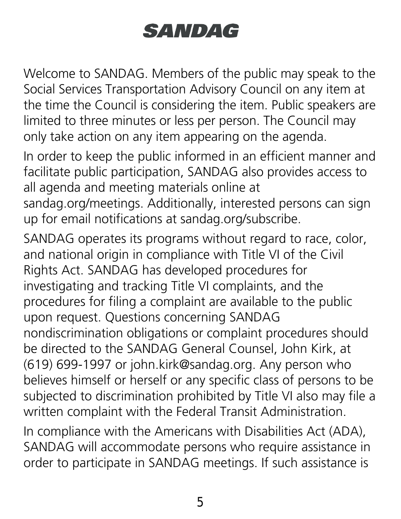# SANDAG

Welcome to SANDAG. Members of the public may speak to the Social Services Transportation Advisory Council on any item at the time the Council is considering the item. Public speakers are limited to three minutes or less per person. The Council may only take action on any item appearing on the agenda.

In order to keep the public informed in an efficient manner and facilitate public participation, SANDAG also provides access to all agenda and meeting materials online at

sandag.org/meetings. Additionally, interested persons can sign up for email notifications at sandag.org/subscribe.

SANDAG operates its programs without regard to race, color, and national origin in compliance with Title VI of the Civil Rights Act. SANDAG has developed procedures for investigating and tracking Title VI complaints, and the procedures for filing a complaint are available to the public upon request. Questions concerning SANDAG nondiscrimination obligations or complaint procedures should be directed to the SANDAG General Counsel, John Kirk, at (619) 699-1997 or john.kirk@sandag.org. Any person who believes himself or herself or any specific class of persons to be subjected to discrimination prohibited by Title VI also may file a written complaint with the Federal Transit Administration.

In compliance with the Americans with Disabilities Act (ADA), SANDAG will accommodate persons who require assistance in order to participate in SANDAG meetings. If such assistance is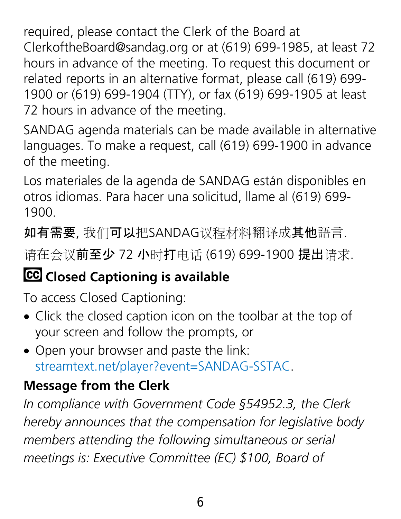required, please contact the Clerk of the Board at ClerkoftheBoard@sandag.org or at (619) 699-1985, at least 72 hours in advance of the meeting. To request this document or related reports in an alternative format, please call (619) 699- 1900 or (619) 699-1904 (TTY), or fax (619) 699-1905 at least 72 hours in advance of the meeting.

SANDAG agenda materials can be made available in alternative languages. To make a request, call (619) 699-1900 in advance of the meeting.

Los materiales de la agenda de SANDAG están disponibles en otros idiomas. Para hacer una solicitud, llame al (619) 699- 1900.

如有需要, 我们可以把SANDAG议程材料翻译成其他語言.

请在会议前至少 72 小时打电话 (619) 699-1900 提出请求.

## **CC** Closed Captioning is available

To access Closed Captioning:

- Click the closed caption icon on the toolbar at the top of your screen and follow the prompts, or
- Open your browser and paste the link: [streamtext.net/player?event=SANDAG-SSTAC.](https://www.streamtext.net/player?event=SANDAG-SSTAC)

### **Message from the Clerk**

*In compliance with Government Code §54952.3, the Clerk hereby announces that the compensation for legislative body members attending the following simultaneous or serial meetings is: Executive Committee (EC) \$100, Board of*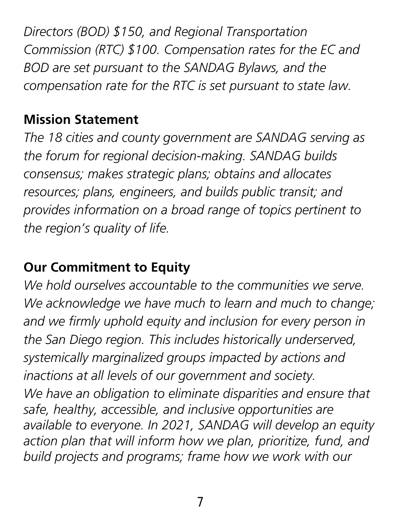*Directors (BOD) \$150, and Regional Transportation Commission (RTC) \$100. Compensation rates for the EC and BOD are set pursuant to the SANDAG Bylaws, and the compensation rate for the RTC is set pursuant to state law.*

#### **Mission Statement**

*The 18 cities and county government are SANDAG serving as the forum for regional decision-making. SANDAG builds consensus; makes strategic plans; obtains and allocates resources; plans, engineers, and builds public transit; and provides information on a broad range of topics pertinent to the region's quality of life.*

## **Our Commitment to Equity**

We hold ourselves accountable to the communities we serve. *We acknowledge we have much to learn and much to change; and we firmly uphold equity and inclusion for every person in the San Diego region. This includes historically underserved, systemically marginalized groups impacted by actions and inactions at all levels of our government and society. We have an obligation to eliminate disparities and ensure that safe, healthy, accessible, and inclusive opportunities are available to everyone. In 2021, SANDAG will develop an equity action plan that will inform how we plan, prioritize, fund, and build projects and programs; frame how we work with our*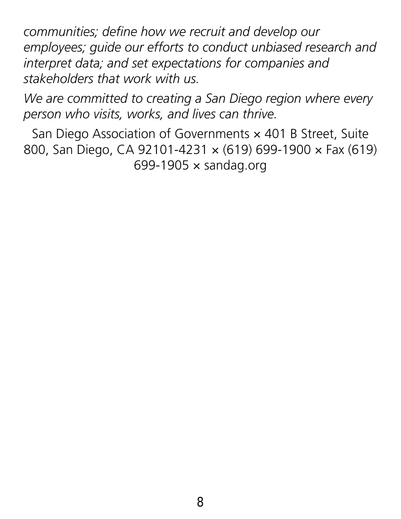*communities; define how we recruit and develop our employees; guide our efforts to conduct unbiased research and interpret data; and set expectations for companies and stakeholders that work with us.*

*We are committed to creating a San Diego region where every person who visits, works, and lives can thrive.*

San Diego Association of Governments  $\times$  401 B Street, Suite 800, San Diego, CA 92101-4231 × (619) 699-1900 × Fax (619) 699-1905  $\times$  sandag.org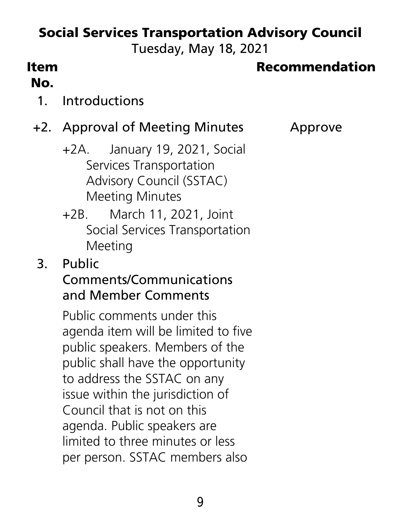## Social Services Transportation Advisory Council

Tuesday, May 18, 2021

#### Item No.

#### Recommendation

#### 1. Introductions

#### +2. Approval of Meeting Minutes Approve

- +2A. January 19, 2021, Social Services Transportation Advisory Council (SSTAC) Meeting Minutes
- +2B. March 11, 2021, Joint Social Services Transportation Meeting
- 3. Public

#### Comments/Communications and Member Comments

Public comments under this agenda item will be limited to five public speakers. Members of the public shall have the opportunity to address the SSTAC on any issue within the jurisdiction of Council that is not on this agenda. Public speakers are limited to three minutes or less per person. SSTAC members also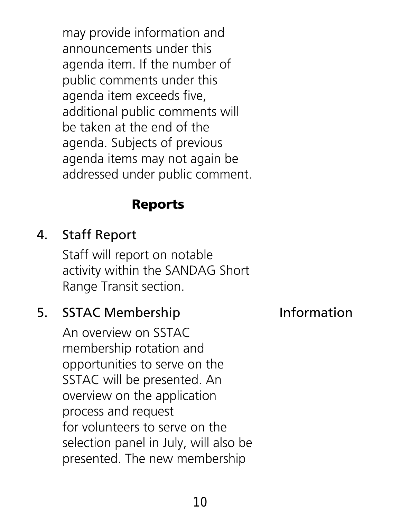may provide information and announcements under this agenda item. If the number of public comments under this agenda item exceeds five, additional public comments will be taken at the end of the agenda. Subjects of previous agenda items may not again be addressed under public comment.

### Reports

### 4. Staff Report

Staff will report on notable activity within the SANDAG Short Range Transit section.

#### 5. SSTAC Membership **Information**

An overview on SSTAC membership rotation and opportunities to serve on the SSTAC will be presented. An overview on the application process and request for volunteers to serve on the selection panel in July, will also be presented. The new membership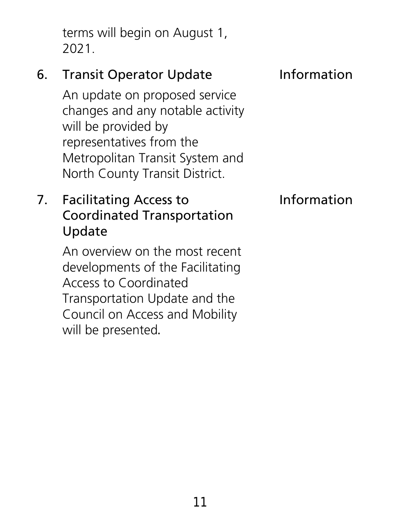terms will begin on August 1, 2021.

## 6. Transit Operator Update **Information**

An update on proposed service changes and any notable activity will be provided by representatives from the Metropolitan Transit System and North County Transit District.

#### 7. Facilitating Access to Coordinated Transportation Update

An overview on the most recent developments of the Facilitating Access to Coordinated Transportation Update and the Council on Access and Mobility will be presented.

#### Information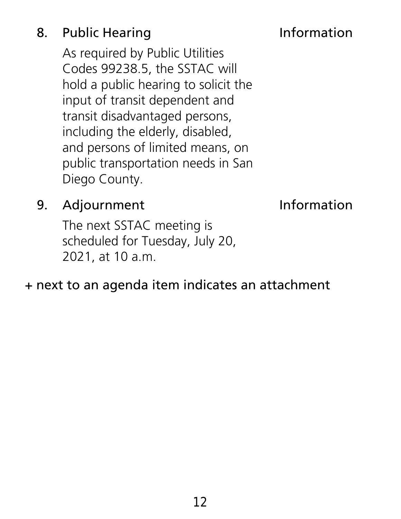## 8. Public Hearing **Information**

As required by Public Utilities Codes 99238.5, the SSTAC will hold a public hearing to solicit the input of transit dependent and transit disadvantaged persons, including the elderly, disabled, and persons of limited means, on public transportation needs in San Diego County.

#### 9. Adjournment lnformation

The next SSTAC meeting is scheduled for Tuesday, July 20, 2021, at 10 a.m.

#### + next to an agenda item indicates an attachment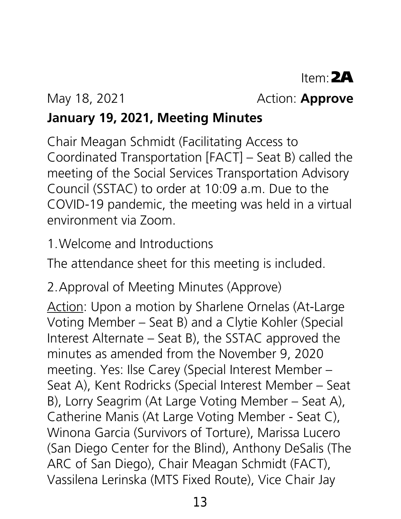#### May 18, 2021 **Action: Approve**

## **January 19, 2021, Meeting Minutes**

Chair Meagan Schmidt (Facilitating Access to Coordinated Transportation [FACT] – Seat B) called the meeting of the Social Services Transportation Advisory Council (SSTAC) to order at 10:09 a.m. Due to the COVID-19 pandemic, the meeting was held in a virtual environment via Zoom.

1.Welcome and Introductions

The attendance sheet for this meeting is included.

2.Approval of Meeting Minutes (Approve)

Action: Upon a motion by Sharlene Ornelas (At-Large Voting Member – Seat B) and a Clytie Kohler (Special Interest Alternate – Seat B), the SSTAC approved the minutes as amended from the November 9, 2020 meeting. Yes: Ilse Carey (Special Interest Member – Seat A), Kent Rodricks (Special Interest Member – Seat B), Lorry Seagrim (At Large Voting Member – Seat A), Catherine Manis (At Large Voting Member - Seat C), Winona Garcia (Survivors of Torture), Marissa Lucero (San Diego Center for the Blind), Anthony DeSalis (The ARC of San Diego), Chair Meagan Schmidt (FACT), Vassilena Lerinska (MTS Fixed Route), Vice Chair Jay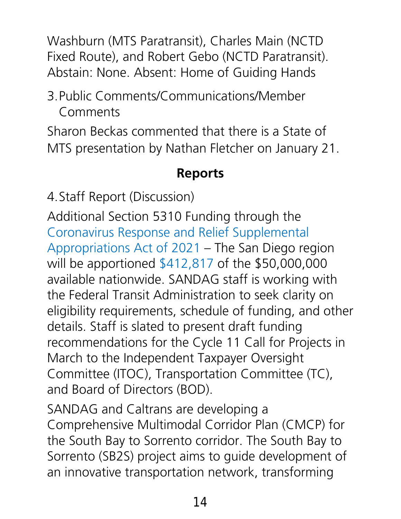Washburn (MTS Paratransit), Charles Main (NCTD Fixed Route), and Robert Gebo (NCTD Paratransit). Abstain: None. Absent: Home of Guiding Hands

#### 3.Public Comments/Communications/Member Comments

Sharon Beckas commented that there is a State of MTS presentation by Nathan Fletcher on January 21.

#### **Reports**

4.Staff Report (Discussion)

Additional Section 5310 Funding through the [Coronavirus Response and Relief Supplemental](https://gcc02.safelinks.protection.outlook.com/?url=https%3A%2F%2Fwww.transit.dot.gov%2Ffunding%2Fgrants%2Fcoronavirus-response-and-relief-supplemental-appropriations-act-2021&data=04%7C01%7CLisa.Madsen%40sandag.org%7C1a81b96c098b4a25d9bf08d8b97e14a7%7C2bbb5689d9d5406b8d02cf1002b473e7%7C0%7C0%7C637463298473349746%7CUnknown%7CTWFpbGZsb3d8eyJWIjoiMC4wLjAwMDAiLCJQIjoiV2luMzIiLCJBTiI6Ik1haWwiLCJXVCI6Mn0%3D%7C1000&sdata=D6ywz9%2BJ3%2B3vcX52sBJ2WzkkASQ5p7U4WZZifPnSQd8%3D&reserved=0)  [Appropriations Act of 2021](https://gcc02.safelinks.protection.outlook.com/?url=https%3A%2F%2Fwww.transit.dot.gov%2Ffunding%2Fgrants%2Fcoronavirus-response-and-relief-supplemental-appropriations-act-2021&data=04%7C01%7CLisa.Madsen%40sandag.org%7C1a81b96c098b4a25d9bf08d8b97e14a7%7C2bbb5689d9d5406b8d02cf1002b473e7%7C0%7C0%7C637463298473349746%7CUnknown%7CTWFpbGZsb3d8eyJWIjoiMC4wLjAwMDAiLCJQIjoiV2luMzIiLCJBTiI6Ik1haWwiLCJXVCI6Mn0%3D%7C1000&sdata=D6ywz9%2BJ3%2B3vcX52sBJ2WzkkASQ5p7U4WZZifPnSQd8%3D&reserved=0) – The San Diego region will be apportioned [\\$412,817](https://gcc02.safelinks.protection.outlook.com/?url=https%3A%2F%2Fwww.transit.dot.gov%2Ffunding%2Fgrants%2Ftable-5-crrsaa-apportionments-enhanced-mobility-seniors-and-individuals-disabilities&data=04%7C01%7CLisa.Madsen%40sandag.org%7C1a81b96c098b4a25d9bf08d8b97e14a7%7C2bbb5689d9d5406b8d02cf1002b473e7%7C0%7C0%7C637463298473349746%7CUnknown%7CTWFpbGZsb3d8eyJWIjoiMC4wLjAwMDAiLCJQIjoiV2luMzIiLCJBTiI6Ik1haWwiLCJXVCI6Mn0%3D%7C1000&sdata=wxTvcRoJv6wrgNuDrcrIwpT%2Bi824H3jPw3MwEwBj1mo%3D&reserved=0) of the \$50,000,000 available nationwide. SANDAG staff is working with the Federal Transit Administration to seek clarity on eligibility requirements, schedule of funding, and other details. Staff is slated to present draft funding recommendations for the Cycle 11 Call for Projects in March to the Independent Taxpayer Oversight Committee (ITOC), Transportation Committee (TC), and Board of Directors (BOD).

SANDAG and Caltrans are developing a Comprehensive Multimodal Corridor Plan (CMCP) for the South Bay to Sorrento corridor. The South Bay to Sorrento (SB2S) project aims to guide development of an innovative transportation network, transforming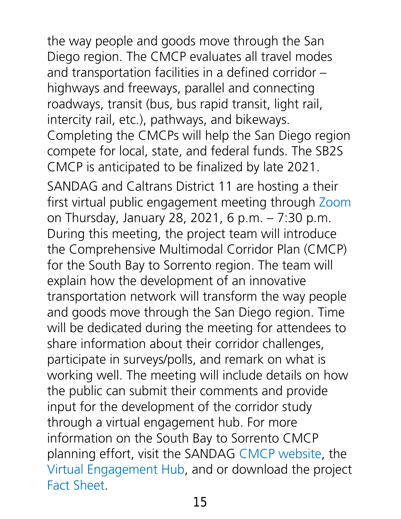the way people and goods move through the San Diego region. The CMCP evaluates all travel modes and transportation facilities in a defined corridor – highways and freeways, parallel and connecting roadways, transit (bus, bus rapid transit, light rail, intercity rail, etc.), pathways, and bikeways. Completing the CMCPs will help the San Diego region compete for local, state, and federal funds. The SB2S CMCP is anticipated to be finalized by late 2021.

SANDAG and Caltrans District 11 are hosting a their first virtual public engagement meeting through [Zoom](https://gcc02.safelinks.protection.outlook.com/?url=https%3A%2F%2Fus02web.zoom.us%2Fj%2F84300170028&data=04%7C01%7CLisa.Madsen%40sandag.org%7Cc433e7e652ae4dcd5a0d08d8b9813d01%7C2bbb5689d9d5406b8d02cf1002b473e7%7C0%7C0%7C637463312030934217%7CUnknown%7CTWFpbGZsb3d8eyJWIjoiMC4wLjAwMDAiLCJQIjoiV2luMzIiLCJBTiI6Ik1haWwiLCJXVCI6Mn0%3D%7C1000&sdata=g73DPSPgf2jx1CRn59trcprwIqkYmBkoodjvr98LFdQ%3D&reserved=0) on Thursday, January 28, 2021, 6 p.m. – 7:30 p.m. During this meeting, the project team will introduce the Comprehensive Multimodal Corridor Plan (CMCP) for the South Bay to Sorrento region. The team will explain how the development of an innovative transportation network will transform the way people and goods move through the San Diego region. Time will be dedicated during the meeting for attendees to share information about their corridor challenges, participate in surveys/polls, and remark on what is working well. The meeting will include details on how the public can submit their comments and provide input for the development of the corridor study through a virtual engagement hub. For more information on the South Bay to Sorrento CMCP planning effort, visit the SANDAG [CMCP website,](https://gcc02.safelinks.protection.outlook.com/?url=https%3A%2F%2Fwww.sandag.org%2Findex.asp%3Fclassid%3D12%26subclassid%3D83%26projectid%3D611%26fuseaction%3Dprojects.detail&data=04%7C01%7CLisa.Madsen%40sandag.org%7Cc433e7e652ae4dcd5a0d08d8b9813d01%7C2bbb5689d9d5406b8d02cf1002b473e7%7C0%7C0%7C637463312030944180%7CUnknown%7CTWFpbGZsb3d8eyJWIjoiMC4wLjAwMDAiLCJQIjoiV2luMzIiLCJBTiI6Ik1haWwiLCJXVCI6Mn0%3D%7C1000&sdata=rAvYlxS%2B2TsbW%2FYQI7rZOeQ%2Fj%2FRUPryBufvgyhVbuA8%3D&reserved=0) the [Virtual Engagement Hub,](https://gcc02.safelinks.protection.outlook.com/?url=https%3A%2F%2Fsandag.mysocialpinpoint.com%2Fsouthbaytosorrento&data=04%7C01%7CLisa.Madsen%40sandag.org%7Cc433e7e652ae4dcd5a0d08d8b9813d01%7C2bbb5689d9d5406b8d02cf1002b473e7%7C0%7C0%7C637463312030944180%7CUnknown%7CTWFpbGZsb3d8eyJWIjoiMC4wLjAwMDAiLCJQIjoiV2luMzIiLCJBTiI6Ik1haWwiLCJXVCI6Mn0%3D%7C1000&sdata=qb5g0Sf%2FhlKu0ceGHfVZBxrV7kS2qRFq9OVrVPZj1vg%3D&reserved=0) and or download the project [Fact Sheet.](https://gcc02.safelinks.protection.outlook.com/?url=https%3A%2F%2Fwww.virtualeventroom.com%2Fhntb%2Fsandag%2Fdocs%2FSB2S-Factsheet.pdf&data=04%7C01%7CLisa.Madsen%40sandag.org%7Cc433e7e652ae4dcd5a0d08d8b9813d01%7C2bbb5689d9d5406b8d02cf1002b473e7%7C0%7C0%7C637463312030954133%7CUnknown%7CTWFpbGZsb3d8eyJWIjoiMC4wLjAwMDAiLCJQIjoiV2luMzIiLCJBTiI6Ik1haWwiLCJXVCI6Mn0%3D%7C1000&sdata=wKZbd61MNlt3sB9Z6yD159ISGuA2i3%2BJfjT6%2FuXG9Xo%3D&reserved=0)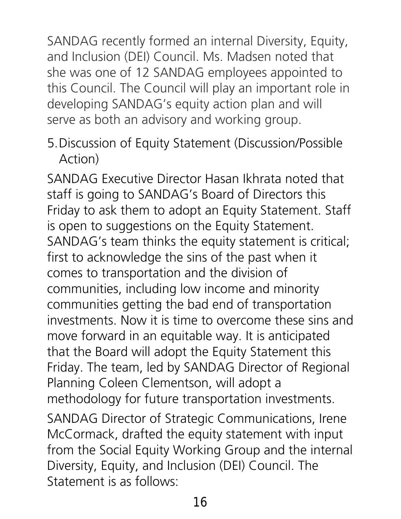SANDAG recently formed an internal Diversity, Equity, and Inclusion (DEI) Council. Ms. Madsen noted that she was one of 12 SANDAG employees appointed to this Council. The Council will play an important role in developing SANDAG's equity action plan and will serve as both an advisory and working group.

5.Discussion of Equity Statement (Discussion/Possible Action)

SANDAG Executive Director Hasan Ikhrata noted that staff is going to SANDAG's Board of Directors this Friday to ask them to adopt an Equity Statement. Staff is open to suggestions on the Equity Statement. SANDAG's team thinks the equity statement is critical; first to acknowledge the sins of the past when it comes to transportation and the division of communities, including low income and minority communities getting the bad end of transportation investments. Now it is time to overcome these sins and move forward in an equitable way. It is anticipated that the Board will adopt the Equity Statement this Friday. The team, led by SANDAG Director of Regional Planning Coleen Clementson, will adopt a methodology for future transportation investments. SANDAG Director of Strategic Communications, Irene McCormack, drafted the equity statement with input from the Social Equity Working Group and the internal Diversity, Equity, and Inclusion (DEI) Council. The Statement is as follows: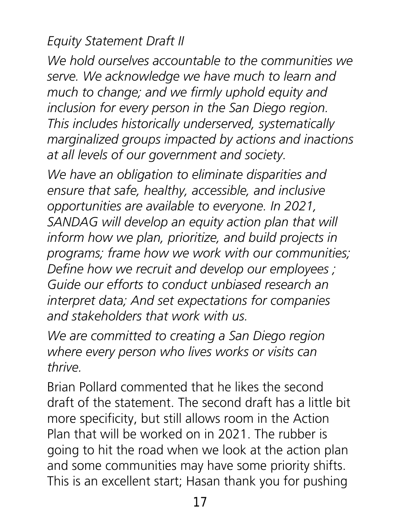#### *Equity Statement Draft II*

*We hold ourselves accountable to the communities we serve. We acknowledge we have much to learn and much to change; and we firmly uphold equity and inclusion for every person in the San Diego region. This includes historically underserved, systematically marginalized groups impacted by actions and inactions at all levels of our government and society.* 

*We have an obligation to eliminate disparities and ensure that safe, healthy, accessible, and inclusive opportunities are available to everyone. In 2021, SANDAG will develop an equity action plan that will inform how we plan, prioritize, and build projects in programs; frame how we work with our communities; Define how we recruit and develop our employees ; Guide our efforts to conduct unbiased research an interpret data; And set expectations for companies and stakeholders that work with us.* 

*We are committed to creating a San Diego region where every person who lives works or visits can thrive.* 

Brian Pollard commented that he likes the second draft of the statement. The second draft has a little bit more specificity, but still allows room in the Action Plan that will be worked on in 2021. The rubber is going to hit the road when we look at the action plan and some communities may have some priority shifts. This is an excellent start; Hasan thank you for pushing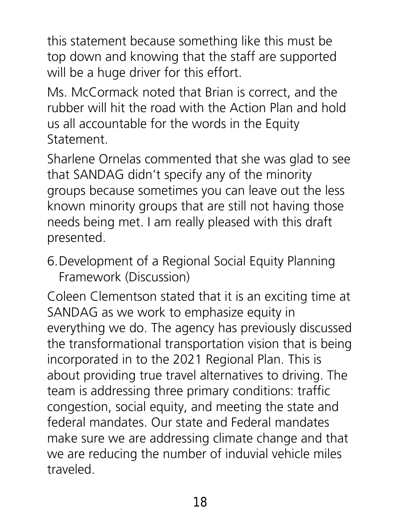this statement because something like this must be top down and knowing that the staff are supported will be a huge driver for this effort.

Ms. McCormack noted that Brian is correct, and the rubber will hit the road with the Action Plan and hold us all accountable for the words in the Equity Statement.

Sharlene Ornelas commented that she was glad to see that SANDAG didn't specify any of the minority groups because sometimes you can leave out the less known minority groups that are still not having those needs being met. I am really pleased with this draft presented.

6.Development of a Regional Social Equity Planning Framework (Discussion)

Coleen Clementson stated that it is an exciting time at SANDAG as we work to emphasize equity in everything we do. The agency has previously discussed the transformational transportation vision that is being incorporated in to the 2021 Regional Plan. This is about providing true travel alternatives to driving. The team is addressing three primary conditions: traffic congestion, social equity, and meeting the state and federal mandates. Our state and Federal mandates make sure we are addressing climate change and that we are reducing the number of induvial vehicle miles traveled.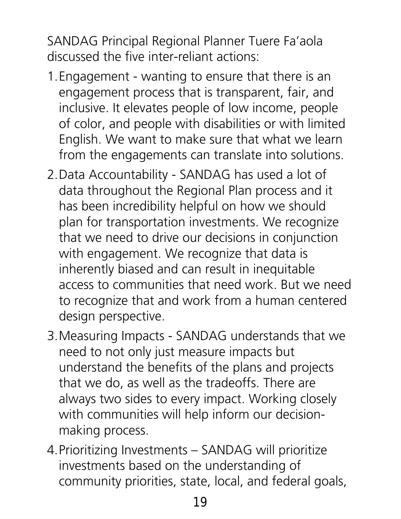SANDAG Principal Regional Planner Tuere Fa'aola discussed the five inter-reliant actions:

- 1.Engagement wanting to ensure that there is an engagement process that is transparent, fair, and inclusive. It elevates people of low income, people of color, and people with disabilities or with limited English. We want to make sure that what we learn from the engagements can translate into solutions.
- 2.Data Accountability SANDAG has used a lot of data throughout the Regional Plan process and it has been incredibility helpful on how we should plan for transportation investments. We recognize that we need to drive our decisions in conjunction with engagement. We recognize that data is inherently biased and can result in inequitable access to communities that need work. But we need to recognize that and work from a human centered design perspective.
- 3.Measuring Impacts SANDAG understands that we need to not only just measure impacts but understand the benefits of the plans and projects that we do, as well as the tradeoffs. There are always two sides to every impact. Working closely with communities will help inform our decisionmaking process.
- 4.Prioritizing Investments SANDAG will prioritize investments based on the understanding of community priorities, state, local, and federal goals,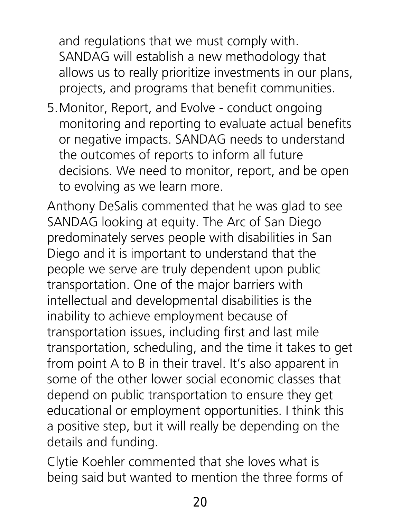and regulations that we must comply with. SANDAG will establish a new methodology that allows us to really prioritize investments in our plans, projects, and programs that benefit communities.

5.Monitor, Report, and Evolve - conduct ongoing monitoring and reporting to evaluate actual benefits or negative impacts. SANDAG needs to understand the outcomes of reports to inform all future decisions. We need to monitor, report, and be open to evolving as we learn more.

Anthony DeSalis commented that he was glad to see SANDAG looking at equity. The Arc of San Diego predominately serves people with disabilities in San Diego and it is important to understand that the people we serve are truly dependent upon public transportation. One of the major barriers with intellectual and developmental disabilities is the inability to achieve employment because of transportation issues, including first and last mile transportation, scheduling, and the time it takes to get from point A to B in their travel. It's also apparent in some of the other lower social economic classes that depend on public transportation to ensure they get educational or employment opportunities. I think this a positive step, but it will really be depending on the details and funding.

Clytie Koehler commented that she loves what is being said but wanted to mention the three forms of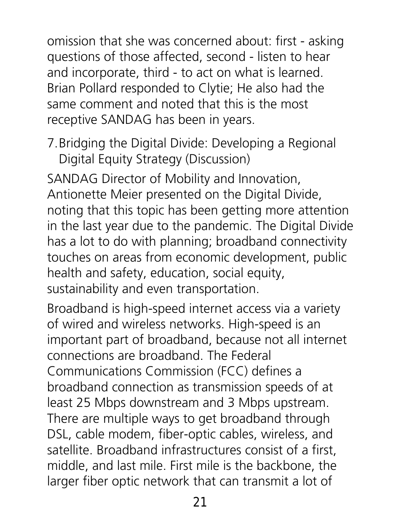omission that she was concerned about: first - asking questions of those affected, second - listen to hear and incorporate, third - to act on what is learned. Brian Pollard responded to Clytie; He also had the same comment and noted that this is the most receptive SANDAG has been in years.

7.Bridging the Digital Divide: Developing a Regional Digital Equity Strategy (Discussion)

SANDAG Director of Mobility and Innovation, Antionette Meier presented on the Digital Divide, noting that this topic has been getting more attention in the last year due to the pandemic. The Digital Divide has a lot to do with planning; broadband connectivity touches on areas from economic development, public health and safety, education, social equity, sustainability and even transportation.

Broadband is high-speed internet access via a variety of wired and wireless networks. High-speed is an important part of broadband, because not all internet connections are broadband. The Federal Communications Commission (FCC) defines a broadband connection as transmission speeds of at least 25 Mbps downstream and 3 Mbps upstream. There are multiple ways to get broadband through DSL, cable modem, fiber-optic cables, wireless, and satellite. Broadband infrastructures consist of a first, middle, and last mile. First mile is the backbone, the larger fiber optic network that can transmit a lot of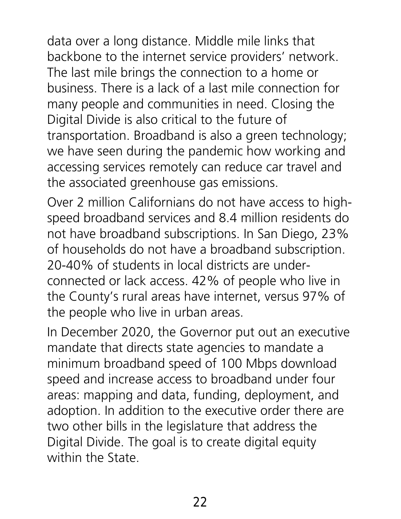data over a long distance. Middle mile links that backbone to the internet service providers' network. The last mile brings the connection to a home or business. There is a lack of a last mile connection for many people and communities in need. Closing the Digital Divide is also critical to the future of transportation. Broadband is also a green technology; we have seen during the pandemic how working and accessing services remotely can reduce car travel and the associated greenhouse gas emissions.

Over 2 million Californians do not have access to highspeed broadband services and 8.4 million residents do not have broadband subscriptions. In San Diego, 23% of households do not have a broadband subscription. 20-40% of students in local districts are underconnected or lack access. 42% of people who live in the County's rural areas have internet, versus 97% of the people who live in urban areas.

In December 2020, the Governor put out an executive mandate that directs state agencies to mandate a minimum broadband speed of 100 Mbps download speed and increase access to broadband under four areas: mapping and data, funding, deployment, and adoption. In addition to the executive order there are two other bills in the legislature that address the Digital Divide. The goal is to create digital equity within the State.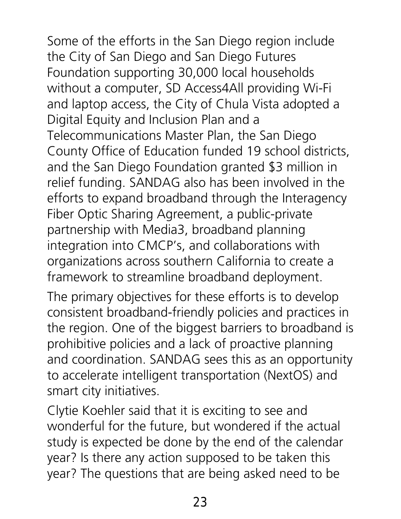Some of the efforts in the San Diego region include the City of San Diego and San Diego Futures Foundation supporting 30,000 local households without a computer, SD Access4All providing Wi-Fi and laptop access, the City of Chula Vista adopted a Digital Equity and Inclusion Plan and a Telecommunications Master Plan, the San Diego County Office of Education funded 19 school districts, and the San Diego Foundation granted \$3 million in relief funding. SANDAG also has been involved in the efforts to expand broadband through the Interagency Fiber Optic Sharing Agreement, a public-private partnership with Media3, broadband planning integration into CMCP's, and collaborations with organizations across southern California to create a framework to streamline broadband deployment.

The primary objectives for these efforts is to develop consistent broadband-friendly policies and practices in the region. One of the biggest barriers to broadband is prohibitive policies and a lack of proactive planning and coordination. SANDAG sees this as an opportunity to accelerate intelligent transportation (NextOS) and smart city initiatives.

Clytie Koehler said that it is exciting to see and wonderful for the future, but wondered if the actual study is expected be done by the end of the calendar year? Is there any action supposed to be taken this year? The questions that are being asked need to be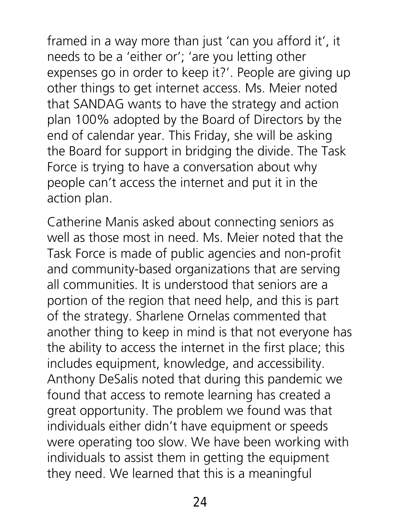framed in a way more than just 'can you afford it', it needs to be a 'either or'; 'are you letting other expenses go in order to keep it?'. People are giving up other things to get internet access. Ms. Meier noted that SANDAG wants to have the strategy and action plan 100% adopted by the Board of Directors by the end of calendar year. This Friday, she will be asking the Board for support in bridging the divide. The Task Force is trying to have a conversation about why people can't access the internet and put it in the action plan.

Catherine Manis asked about connecting seniors as well as those most in need. Ms. Meier noted that the Task Force is made of public agencies and non-profit and community-based organizations that are serving all communities. It is understood that seniors are a portion of the region that need help, and this is part of the strategy. Sharlene Ornelas commented that another thing to keep in mind is that not everyone has the ability to access the internet in the first place; this includes equipment, knowledge, and accessibility. Anthony DeSalis noted that during this pandemic we found that access to remote learning has created a great opportunity. The problem we found was that individuals either didn't have equipment or speeds were operating too slow. We have been working with individuals to assist them in getting the equipment they need. We learned that this is a meaningful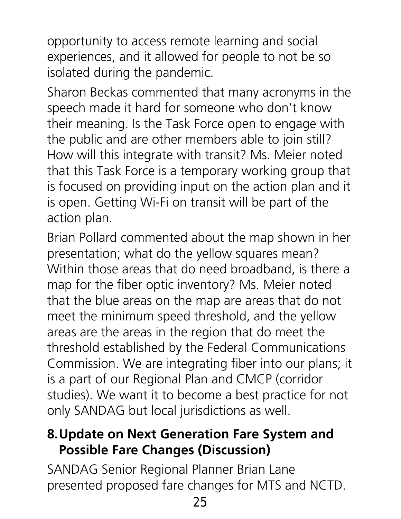opportunity to access remote learning and social experiences, and it allowed for people to not be so isolated during the pandemic.

Sharon Beckas commented that many acronyms in the speech made it hard for someone who don't know their meaning. Is the Task Force open to engage with the public and are other members able to join still? How will this integrate with transit? Ms. Meier noted that this Task Force is a temporary working group that is focused on providing input on the action plan and it is open. Getting Wi-Fi on transit will be part of the action plan.

Brian Pollard commented about the map shown in her presentation; what do the yellow squares mean? Within those areas that do need broadband, is there a map for the fiber optic inventory? Ms. Meier noted that the blue areas on the map are areas that do not meet the minimum speed threshold, and the yellow areas are the areas in the region that do meet the threshold established by the Federal Communications Commission. We are integrating fiber into our plans; it is a part of our Regional Plan and CMCP (corridor studies). We want it to become a best practice for not only SANDAG but local jurisdictions as well.

#### **8.Update on Next Generation Fare System and Possible Fare Changes (Discussion)**

SANDAG Senior Regional Planner Brian Lane presented proposed fare changes for MTS and NCTD.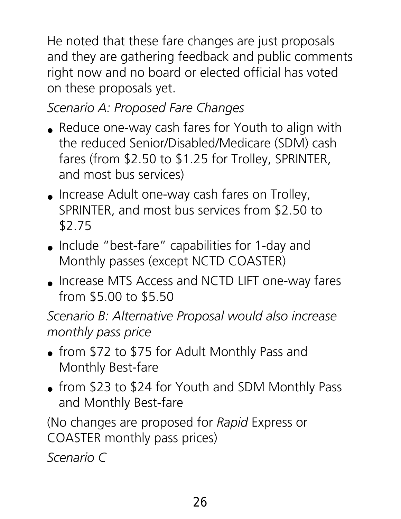He noted that these fare changes are just proposals and they are gathering feedback and public comments right now and no board or elected official has voted on these proposals yet.

*Scenario A: Proposed Fare Changes*

- Reduce one-way cash fares for Youth to align with the reduced Senior/Disabled/Medicare (SDM) cash fares (from \$2.50 to \$1.25 for Trolley, SPRINTER, and most bus services)
- Increase Adult one-way cash fares on Trolley, SPRINTER, and most bus services from \$2.50 to \$2.75
- Include "best-fare" capabilities for 1-day and Monthly passes (except NCTD COASTER)
- Increase MTS Access and NCTD LIFT one-way fares from \$5.00 to \$5.50

*Scenario B: Alternative Proposal would also increase monthly pass price*

- from \$72 to \$75 for Adult Monthly Pass and Monthly Best-fare
- from \$23 to \$24 for Youth and SDM Monthly Pass and Monthly Best-fare

(No changes are proposed for *Rapid* Express or COASTER monthly pass prices)

*Scenario C*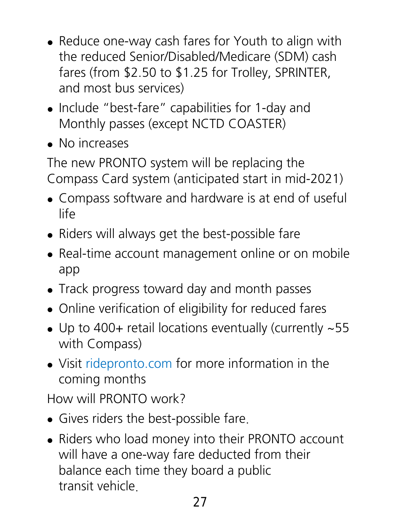- Reduce one-way cash fares for Youth to align with the reduced Senior/Disabled/Medicare (SDM) cash fares (from \$2.50 to \$1.25 for Trolley, SPRINTER, and most bus services)
- Include "best-fare" capabilities for 1-day and Monthly passes (except NCTD COASTER)
- No increases

The new PRONTO system will be replacing the Compass Card system (anticipated start in mid-2021)

- Compass software and hardware is at end of useful life
- Riders will always get the best-possible fare
- Real-time account management online or on mobile app
- Track progress toward day and month passes
- Online verification of eligibility for reduced fares
- Up to 400+ retail locations eventually (currently ~55 with Compass)
- Visit ridepronto.com for more information in the coming months

How will PRONTO work?

- Gives riders the best-possible fare.
- Riders who load money into their PRONTO account will have a one-way fare deducted from their balance each time they board a public transit vehicle.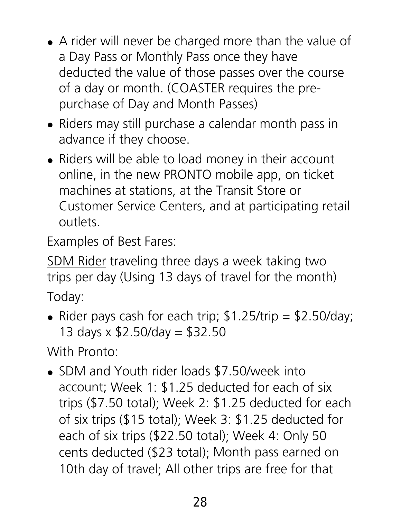- A rider will never be charged more than the value of a Day Pass or Monthly Pass once they have deducted the value of those passes over the course of a day or month. (COASTER requires the prepurchase of Day and Month Passes)
- Riders may still purchase a calendar month pass in advance if they choose.
- Riders will be able to load money in their account online, in the new PRONTO mobile app, on ticket machines at stations, at the Transit Store or Customer Service Centers, and at participating retail outlets.

Examples of Best Fares:

SDM Rider traveling three days a week taking two trips per day (Using 13 days of travel for the month)

Today:

• Rider pays cash for each trip;  $$1.25/trip = $2.50/day;$ 13 days x \$2.50/day = \$32.50

With Pronto:

• SDM and Youth rider loads \$7.50/week into account; Week 1: \$1.25 deducted for each of six trips (\$7.50 total); Week 2: \$1.25 deducted for each of six trips (\$15 total); Week 3: \$1.25 deducted for each of six trips (\$22.50 total); Week 4: Only 50 cents deducted (\$23 total); Month pass earned on 10th day of travel; All other trips are free for that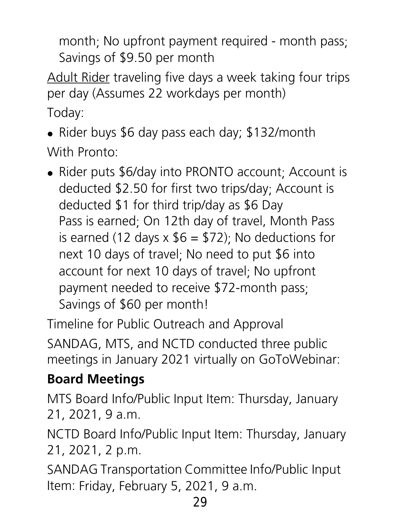month; No upfront payment required - month pass; Savings of \$9.50 per month

Adult Rider traveling five days a week taking four trips per day (Assumes 22 workdays per month) Today:

• Rider buys \$6 day pass each day; \$132/month With Pronto:

• Rider puts \$6/day into PRONTO account; Account is deducted \$2.50 for first two trips/day; Account is deducted \$1 for third trip/day as \$6 Day Pass is earned; On 12th day of travel, Month Pass is earned (12 days  $x$  \$6 = \$72); No deductions for next 10 days of travel; No need to put \$6 into account for next 10 days of travel; No upfront payment needed to receive \$72-month pass; Savings of \$60 per month!

Timeline for Public Outreach and Approval

SANDAG, MTS, and NCTD conducted three public meetings in January 2021 virtually on GoToWebinar:

## **Board Meetings**

MTS Board Info/Public Input Item: Thursday, January 21, 2021, 9 a.m.

NCTD Board Info/Public Input Item: Thursday, January 21, 2021, 2 p.m.  

SANDAG Transportation Committee Info/Public Input Item: Friday, February 5, 2021, 9 a.m.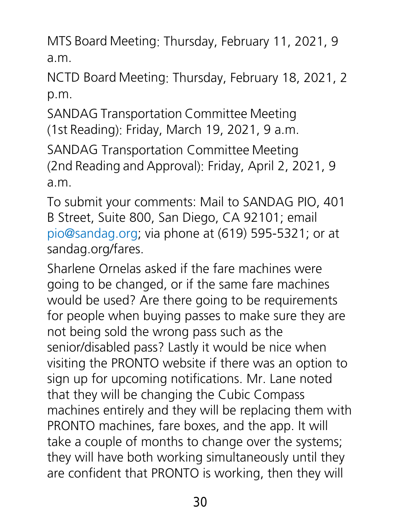MTS Board Meeting: Thursday, February 11, 2021, 9 a.m.

NCTD Board Meeting: Thursday, February 18, 2021, 2 p.m.

SANDAG Transportation Committee Meeting (1st Reading): Friday, March 19, 2021, 9 a.m.

SANDAG Transportation Committee Meeting (2nd Reading and Approval): Friday, April 2, 2021, 9 a.m.

To submit your comments: Mail to SANDAG PIO, 401 B Street, Suite 800, San Diego, CA 92101; email [pio@sandag.org;](mailto:pio@sandag.org) via phone at (619) 595-5321; or at sandag.org/fares.

Sharlene Ornelas asked if the fare machines were going to be changed, or if the same fare machines would be used? Are there going to be requirements for people when buying passes to make sure they are not being sold the wrong pass such as the senior/disabled pass? Lastly it would be nice when visiting the PRONTO website if there was an option to sign up for upcoming notifications. Mr. Lane noted that they will be changing the Cubic Compass machines entirely and they will be replacing them with PRONTO machines, fare boxes, and the app. It will take a couple of months to change over the systems; they will have both working simultaneously until they are confident that PRONTO is working, then they will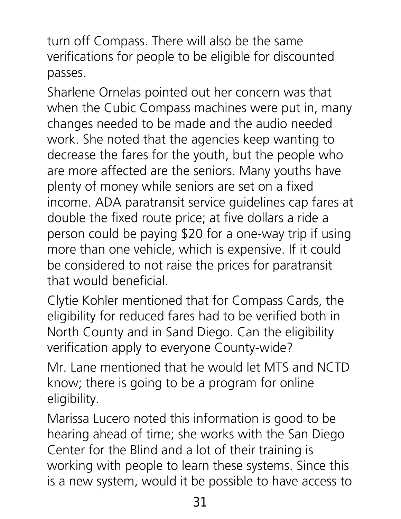turn off Compass. There will also be the same verifications for people to be eligible for discounted passes.

Sharlene Ornelas pointed out her concern was that when the Cubic Compass machines were put in, many changes needed to be made and the audio needed work. She noted that the agencies keep wanting to decrease the fares for the youth, but the people who are more affected are the seniors. Many youths have plenty of money while seniors are set on a fixed income. ADA paratransit service guidelines cap fares at double the fixed route price; at five dollars a ride a person could be paying \$20 for a one-way trip if using more than one vehicle, which is expensive. If it could be considered to not raise the prices for paratransit that would beneficial.

Clytie Kohler mentioned that for Compass Cards, the eligibility for reduced fares had to be verified both in North County and in Sand Diego. Can the eligibility verification apply to everyone County-wide?

Mr. Lane mentioned that he would let MTS and NCTD know; there is going to be a program for online eligibility.

Marissa Lucero noted this information is good to be hearing ahead of time; she works with the San Diego Center for the Blind and a lot of their training is working with people to learn these systems. Since this is a new system, would it be possible to have access to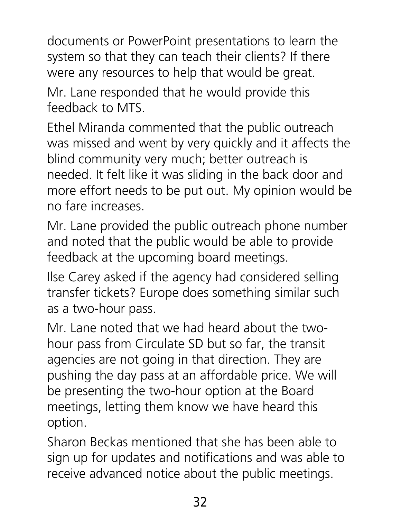documents or PowerPoint presentations to learn the system so that they can teach their clients? If there were any resources to help that would be great.

Mr. Lane responded that he would provide this feedback to MTS.

Ethel Miranda commented that the public outreach was missed and went by very quickly and it affects the blind community very much; better outreach is needed. It felt like it was sliding in the back door and more effort needs to be put out. My opinion would be no fare increases.

Mr. Lane provided the public outreach phone number and noted that the public would be able to provide feedback at the upcoming board meetings.

Ilse Carey asked if the agency had considered selling transfer tickets? Europe does something similar such as a two-hour pass.

Mr. Lane noted that we had heard about the twohour pass from Circulate SD but so far, the transit agencies are not going in that direction. They are pushing the day pass at an affordable price. We will be presenting the two-hour option at the Board meetings, letting them know we have heard this option.

Sharon Beckas mentioned that she has been able to sign up for updates and notifications and was able to receive advanced notice about the public meetings.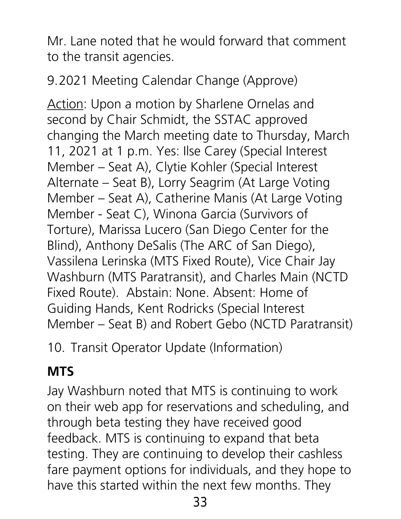Mr. Lane noted that he would forward that comment to the transit agencies.

9.2021 Meeting Calendar Change (Approve)

Action: Upon a motion by Sharlene Ornelas and second by Chair Schmidt, the SSTAC approved changing the March meeting date to Thursday, March 11, 2021 at 1 p.m. Yes: Ilse Carey (Special Interest Member – Seat A), Clytie Kohler (Special Interest Alternate – Seat B), Lorry Seagrim (At Large Voting Member – Seat A), Catherine Manis (At Large Voting Member - Seat C), Winona Garcia (Survivors of Torture), Marissa Lucero (San Diego Center for the Blind), Anthony DeSalis (The ARC of San Diego), Vassilena Lerinska (MTS Fixed Route), Vice Chair Jay Washburn (MTS Paratransit), and Charles Main (NCTD Fixed Route). Abstain: None. Absent: Home of Guiding Hands, Kent Rodricks (Special Interest Member – Seat B) and Robert Gebo (NCTD Paratransit)

10. Transit Operator Update (Information)

### **MTS**

Jay Washburn noted that MTS is continuing to work on their web app for reservations and scheduling, and through beta testing they have received good feedback. MTS is continuing to expand that beta testing. They are continuing to develop their cashless fare payment options for individuals, and they hope to have this started within the next few months. They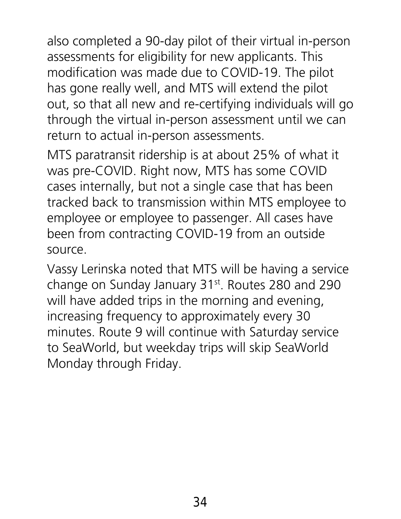also completed a 90-day pilot of their virtual in-person assessments for eligibility for new applicants. This modification was made due to COVID-19. The pilot has gone really well, and MTS will extend the pilot out, so that all new and re-certifying individuals will go through the virtual in-person assessment until we can return to actual in-person assessments.

MTS paratransit ridership is at about 25% of what it was pre-COVID. Right now, MTS has some COVID cases internally, but not a single case that has been tracked back to transmission within MTS employee to employee or employee to passenger. All cases have been from contracting COVID-19 from an outside source.

Vassy Lerinska noted that MTS will be having a service change on Sunday January 31<sup>st</sup>. Routes 280 and 290 will have added trips in the morning and evening, increasing frequency to approximately every 30 minutes. Route 9 will continue with Saturday service to SeaWorld, but weekday trips will skip SeaWorld Monday through Friday.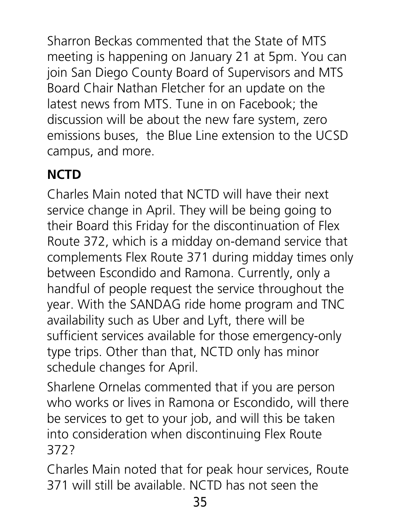Sharron Beckas commented that the State of MTS meeting is happening on January 21 at 5pm. You can join San Diego County Board of Supervisors and MTS Board Chair Nathan Fletcher for an update on the latest news from MTS. Tune in on Facebook; the discussion will be about the new fare system, zero emissions buses, the Blue Line extension to the UCSD campus, and more.

## **NCTD**

Charles Main noted that NCTD will have their next service change in April. They will be being going to their Board this Friday for the discontinuation of Flex Route 372, which is a midday on-demand service that complements Flex Route 371 during midday times only between Escondido and Ramona. Currently, only a handful of people request the service throughout the year. With the SANDAG ride home program and TNC availability such as Uber and Lyft, there will be sufficient services available for those emergency-only type trips. Other than that, NCTD only has minor schedule changes for April.

Sharlene Ornelas commented that if you are person who works or lives in Ramona or Escondido, will there be services to get to your job, and will this be taken into consideration when discontinuing Flex Route 372?

Charles Main noted that for peak hour services, Route 371 will still be available. NCTD has not seen the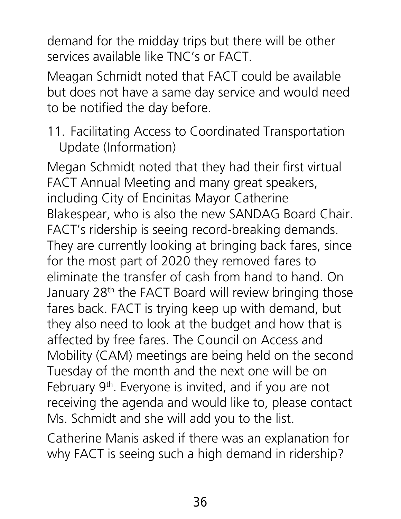demand for the midday trips but there will be other services available like TNC's or FACT.

Meagan Schmidt noted that FACT could be available but does not have a same day service and would need to be notified the day before.

#### 11. Facilitating Access to Coordinated Transportation Update (Information)

Megan Schmidt noted that they had their first virtual FACT Annual Meeting and many great speakers, including City of Encinitas Mayor Catherine Blakespear, who is also the new SANDAG Board Chair. FACT's ridership is seeing record-breaking demands. They are currently looking at bringing back fares, since for the most part of 2020 they removed fares to eliminate the transfer of cash from hand to hand. On January 28<sup>th</sup> the FACT Board will review bringing those fares back. FACT is trying keep up with demand, but they also need to look at the budget and how that is affected by free fares. The Council on Access and Mobility (CAM) meetings are being held on the second Tuesday of the month and the next one will be on February 9<sup>th</sup>. Everyone is invited, and if you are not receiving the agenda and would like to, please contact Ms. Schmidt and she will add you to the list.

Catherine Manis asked if there was an explanation for why FACT is seeing such a high demand in ridership?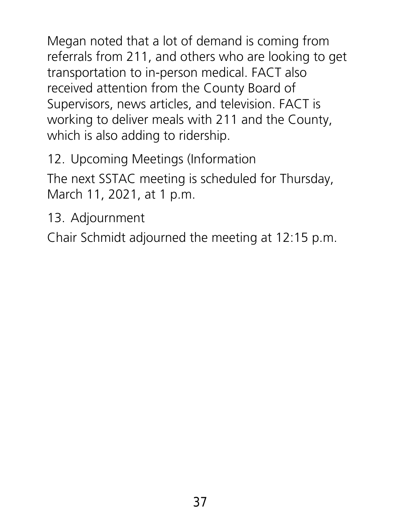Megan noted that a lot of demand is coming from referrals from 211, and others who are looking to get transportation to in-person medical. FACT also received attention from the County Board of Supervisors, news articles, and television. FACT is working to deliver meals with 211 and the County, which is also adding to ridership.

12. Upcoming Meetings (Information

The next SSTAC meeting is scheduled for Thursday, March 11, 2021, at 1 p.m.

13. Adjournment

Chair Schmidt adjourned the meeting at 12:15 p.m.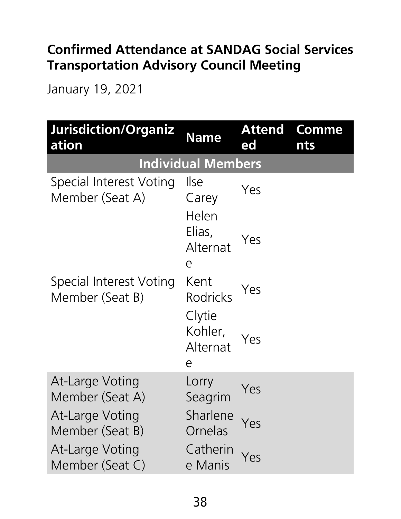#### **Confirmed Attendance at SANDAG Social Services Transportation Advisory Council Meeting**

January 19, 2021

| Jurisdiction/Organiz<br>ation              | <b>Name</b>                        | <b>Attend</b><br>ed | <b>Comme</b><br><b>nts</b> |  |
|--------------------------------------------|------------------------------------|---------------------|----------------------------|--|
| <b>Individual Members</b>                  |                                    |                     |                            |  |
| Special Interest Voting<br>Member (Seat A) | <i><u><b>I</b></u></i> se<br>Carey | Yes                 |                            |  |
|                                            | Helen<br>Elias,<br>Alternat<br>e   | Yes                 |                            |  |
| Special Interest Voting<br>Member (Seat B) | Kent<br><b>Rodricks</b>            | Yes                 |                            |  |
|                                            | Clytie<br>Kohler,<br>Alternat<br>e | Yes                 |                            |  |
| <b>At-Large Voting</b><br>Member (Seat A)  | Lorry<br>Seagrim                   | Yes                 |                            |  |
| <b>At-Large Voting</b><br>Member (Seat B)  | Sharlene<br>Ornelas                | Yes                 |                            |  |
| <b>At-Large Voting</b><br>Member (Seat C)  | Catherin<br>e Manis                | Yes                 |                            |  |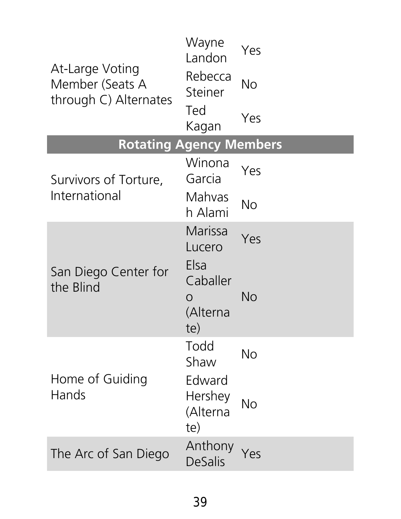| At-Large Voting<br>Member (Seats A<br>through C) Alternates | Wayne<br>Landon                      | Yes       |
|-------------------------------------------------------------|--------------------------------------|-----------|
|                                                             | Rebecca<br>Steiner                   | No        |
|                                                             | Ted<br>Kagan                         | Yes       |
| <b>Rotating Agency Members</b>                              |                                      |           |
| Survivors of Torture,<br>International                      | Winona<br>Garcia                     | Yes       |
|                                                             | Mahvas<br>h Alami                    | <b>No</b> |
| San Diego Center for<br>the Blind                           | Marissa<br>Lucero<br>Elsa            | Yes       |
|                                                             | Caballer<br>O<br>(Alterna<br>te)     | No        |
| Home of Guiding<br>Hands                                    | Todd<br>Shaw                         | <b>No</b> |
|                                                             | Edward<br>Hershey<br>(Alterna<br>te) | <b>No</b> |
| The Arc of San Diego                                        | Anthony<br><b>DeSalis</b>            | Yes       |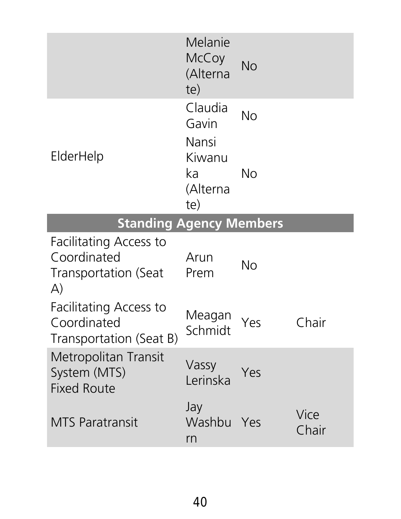|                                                                                             | Melanie<br>McCoy<br>(Alterna<br>te)                          | <b>No</b>       |               |
|---------------------------------------------------------------------------------------------|--------------------------------------------------------------|-----------------|---------------|
| ElderHelp                                                                                   | Claudia<br>Gavin<br>Nansi<br>Kiwanu<br>ka<br>(Alterna<br>te) | <b>No</b><br>No |               |
| <b>Standing Agency Members</b>                                                              |                                                              |                 |               |
| <b>Facilitating Access to</b><br>Coordinated<br><b>Transportation (Seat</b><br>$\mathsf{A}$ | Arun<br>Prem                                                 | No              |               |
| <b>Facilitating Access to</b><br>Coordinated<br>Transportation (Seat B)                     | Meagan<br>Schmidt                                            | Yes             | hair          |
| <b>Metropolitan Transit</b><br>System (MTS)<br><b>Fixed Route</b>                           | Vassy<br>Lerinska                                            | Yes             |               |
| <b>MTS Paratransit</b>                                                                      | Jay<br>Washbu<br>rn                                          | Yes             | Vice<br>Chair |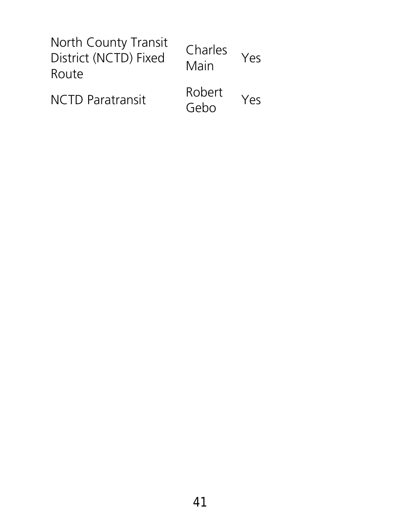| <b>North County Transit</b><br>District (NCTD) Fixed<br>Route | Charles<br>Main | Yes |
|---------------------------------------------------------------|-----------------|-----|
| <b>NCTD Paratransit</b>                                       | Robert<br>Gebo  | Yes |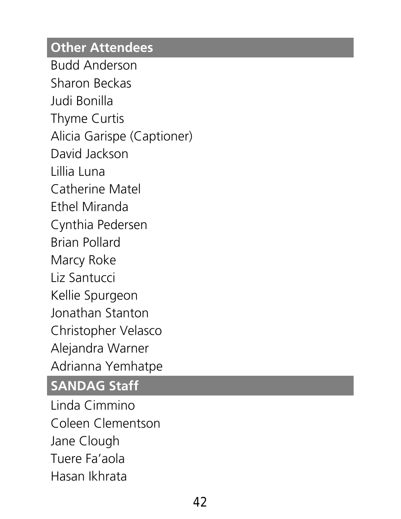#### **Other Attendees**

Budd Anderson Sharon Beckas Judi Bonilla Thyme Curtis Alicia Garispe (Captioner) David Jackson Lillia Luna Catherine Matel Ethel Miranda Cynthia Pedersen Brian Pollard Marcy Roke Liz Santucci Kellie Spurgeon Jonathan Stanton Christopher Velasco Alejandra Warner Adrianna Yemhatpe

#### **SANDAG Staff**

Linda Cimmino Coleen Clementson Jane Clough Tuere Fa'aola Hasan Ikhrata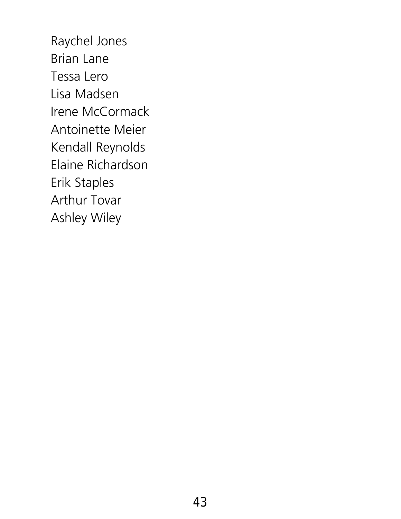Raychel Jones Brian Lane Tessa Lero Lisa Madsen Irene McCormack Antoinette Meier Kendall Reynolds Elaine Richardson Erik Staples Arthur Tovar Ashley Wiley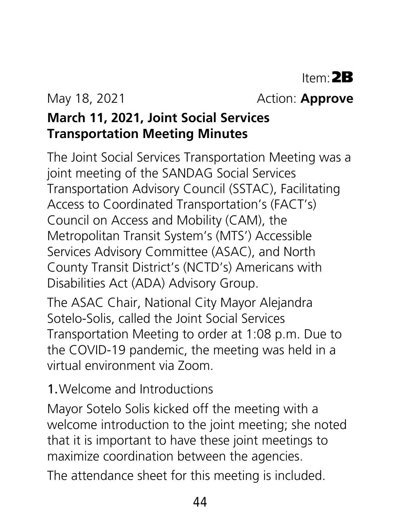May 18, 2021 **Action: Approve** 

#### **March 11, 2021, Joint Social Services Transportation Meeting Minutes**

The Joint Social Services Transportation Meeting was a joint meeting of the SANDAG Social Services Transportation Advisory Council (SSTAC), Facilitating Access to Coordinated Transportation's (FACT's) Council on Access and Mobility (CAM), the Metropolitan Transit System's (MTS') Accessible Services Advisory Committee (ASAC), and North County Transit District's (NCTD's) Americans with Disabilities Act (ADA) Advisory Group.

The ASAC Chair, National City Mayor Alejandra Sotelo-Solis, called the Joint Social Services Transportation Meeting to order at 1:08 p.m. Due to the COVID-19 pandemic, the meeting was held in a virtual environment via Zoom.

#### 1.Welcome and Introductions

Mayor Sotelo Solis kicked off the meeting with a welcome introduction to the joint meeting; she noted that it is important to have these joint meetings to maximize coordination between the agencies.

The attendance sheet for this meeting is included.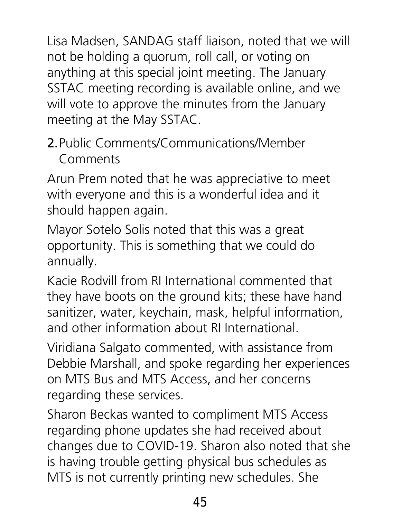Lisa Madsen, SANDAG staff liaison, noted that we will not be holding a quorum, roll call, or voting on anything at this special joint meeting. The January SSTAC meeting recording is available online, and we will vote to approve the minutes from the January meeting at the May SSTAC.

#### 2.Public Comments/Communications/Member Comments

Arun Prem noted that he was appreciative to meet with everyone and this is a wonderful idea and it should happen again.

Mayor Sotelo Solis noted that this was a great opportunity. This is something that we could do annually.

Kacie Rodvill from RI International commented that they have boots on the ground kits; these have hand sanitizer, water, keychain, mask, helpful information, and other information about RI International.

Viridiana Salgato commented, with assistance from Debbie Marshall, and spoke regarding her experiences on MTS Bus and MTS Access, and her concerns regarding these services.

Sharon Beckas wanted to compliment MTS Access regarding phone updates she had received about changes due to COVID-19. Sharon also noted that she is having trouble getting physical bus schedules as MTS is not currently printing new schedules. She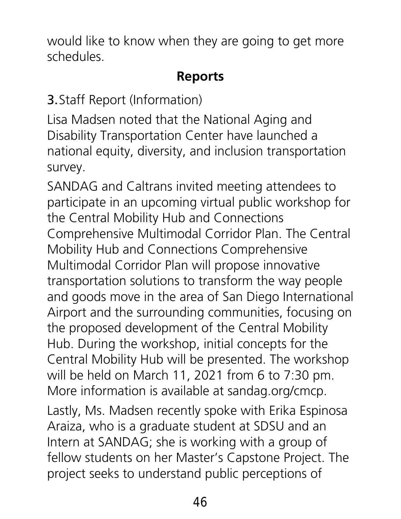would like to know when they are going to get more schedules.

#### **Reports**

3.Staff Report (Information)

Lisa Madsen noted that the National Aging and Disability Transportation Center have launched a national equity, diversity, and inclusion transportation survey.

SANDAG and Caltrans invited meeting attendees to participate in an upcoming virtual public workshop for the Central Mobility Hub and Connections Comprehensive Multimodal Corridor Plan. The Central Mobility Hub and Connections Comprehensive Multimodal Corridor Plan will propose innovative transportation solutions to transform the way people and goods move in the area of San Diego International Airport and the surrounding communities, focusing on the proposed development of the Central Mobility Hub. During the workshop, initial concepts for the Central Mobility Hub will be presented. The workshop will be held on March 11, 2021 from 6 to 7:30 pm. More information is available at sandag.org/cmcp. Lastly, Ms. Madsen recently spoke with Erika Espinosa Araiza, who is a graduate student at SDSU and an Intern at SANDAG; she is working with a group of

fellow students on her Master's Capstone Project. The project seeks to understand public perceptions of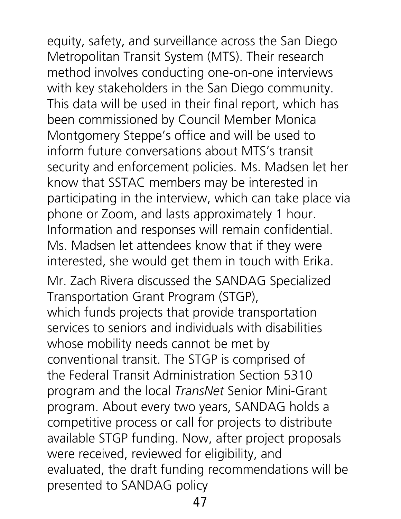equity, safety, and surveillance across the San Diego Metropolitan Transit System (MTS). Their research method involves conducting one-on-one interviews with key stakeholders in the San Diego community. This data will be used in their final report, which has been commissioned by Council Member Monica Montgomery Steppe's office and will be used to inform future conversations about MTS's transit security and enforcement policies. Ms. Madsen let her know that SSTAC members may be interested in participating in the interview, which can take place via phone or Zoom, and lasts approximately 1 hour. Information and responses will remain confidential. Ms. Madsen let attendees know that if they were interested, she would get them in touch with Erika. Mr. Zach Rivera discussed the SANDAG Specialized Transportation Grant Program (STGP), which funds projects that provide transportation services to seniors and individuals with disabilities whose mobility needs cannot be met by conventional transit. The STGP is comprised of the Federal Transit Administration Section 5310 program and the local *TransNet* Senior Mini-Grant program. About every two years, SANDAG holds a competitive process or call for projects to distribute available STGP funding. Now, after project proposals were received, reviewed for eligibility, and evaluated, the draft funding recommendations will be presented to SANDAG policy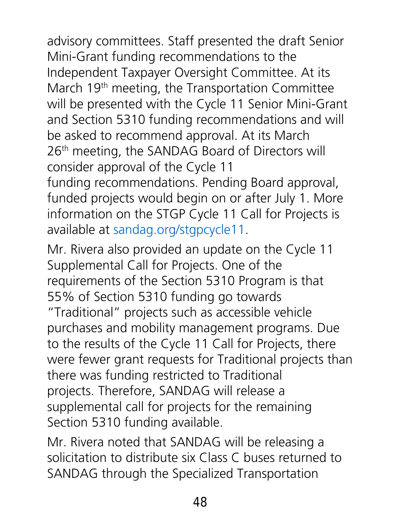advisory committees. Staff presented the draft Senior Mini-Grant funding recommendations to the Independent Taxpayer Oversight Committee. At its March 19<sup>th</sup> meeting, the Transportation Committee will be presented with the Cycle 11 Senior Mini-Grant and Section 5310 funding recommendations and will be asked to recommend approval. At its March 26<sup>th</sup> meeting, the SANDAG Board of Directors will consider approval of the Cycle 11 funding recommendations. Pending Board approval, funded projects would begin on or after July 1. More information on the STGP Cycle 11 Call for Projects is

available at [sandag.org/stgpcycle11.](http://www.sandag.org/stgpcycle11)

Mr. Rivera also provided an update on the Cycle 11 Supplemental Call for Projects. One of the requirements of the Section 5310 Program is that 55% of Section 5310 funding go towards "Traditional" projects such as accessible vehicle purchases and mobility management programs. Due to the results of the Cycle 11 Call for Projects, there were fewer grant requests for Traditional projects than there was funding restricted to Traditional projects. Therefore, SANDAG will release a supplemental call for projects for the remaining Section 5310 funding available.

Mr. Rivera noted that SANDAG will be releasing a solicitation to distribute six Class C buses returned to SANDAG through the Specialized Transportation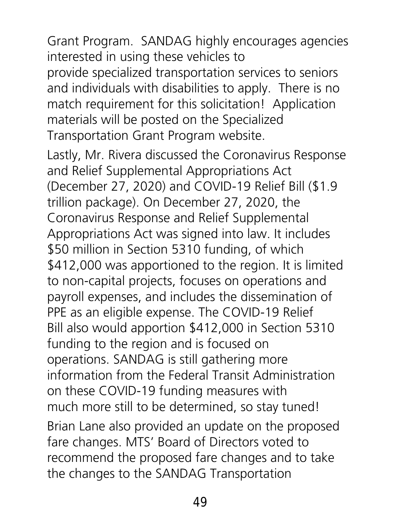Grant Program. SANDAG highly encourages agencies interested in using these vehicles to provide specialized transportation services to seniors and individuals with disabilities to apply. There is no match requirement for this solicitation! Application materials will be posted on the Specialized Transportation Grant Program website.

Lastly, Mr. Rivera discussed the Coronavirus Response and Relief Supplemental Appropriations Act (December 27, 2020) and COVID-19 Relief Bill (\$1.9 trillion package). On December 27, 2020, the Coronavirus Response and Relief Supplemental Appropriations Act was signed into law. It includes \$50 million in Section 5310 funding, of which \$412,000 was apportioned to the region. It is limited to non-capital projects, focuses on operations and payroll expenses, and includes the dissemination of PPE as an eligible expense. The COVID-19 Relief Bill also would apportion \$412,000 in Section 5310 funding to the region and is focused on operations. SANDAG is still gathering more information from the Federal Transit Administration on these COVID-19 funding measures with much more still to be determined, so stay tuned!

Brian Lane also provided an update on the proposed fare changes. MTS' Board of Directors voted to recommend the proposed fare changes and to take the changes to the SANDAG Transportation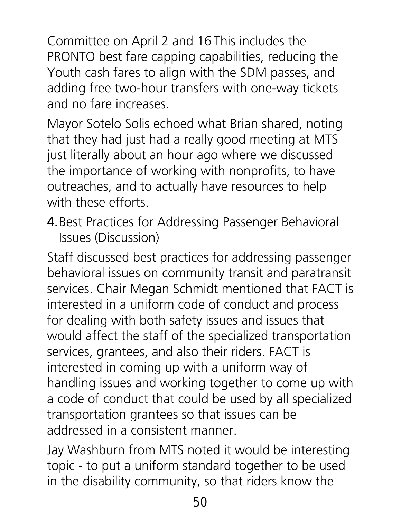Committee on April 2 and 16 This includes the PRONTO best fare capping capabilities, reducing the Youth cash fares to align with the SDM passes, and adding free two-hour transfers with one-way tickets and no fare increases.

Mayor Sotelo Solis echoed what Brian shared, noting that they had just had a really good meeting at MTS just literally about an hour ago where we discussed the importance of working with nonprofits, to have outreaches, and to actually have resources to help with these efforts.

4.Best Practices for Addressing Passenger Behavioral Issues (Discussion)

Staff discussed best practices for addressing passenger behavioral issues on community transit and paratransit services. Chair Megan Schmidt mentioned that FACT is interested in a uniform code of conduct and process for dealing with both safety issues and issues that would affect the staff of the specialized transportation services, grantees, and also their riders. FACT is interested in coming up with a uniform way of handling issues and working together to come up with a code of conduct that could be used by all specialized transportation grantees so that issues can be addressed in a consistent manner.

Jay Washburn from MTS noted it would be interesting topic - to put a uniform standard together to be used in the disability community, so that riders know the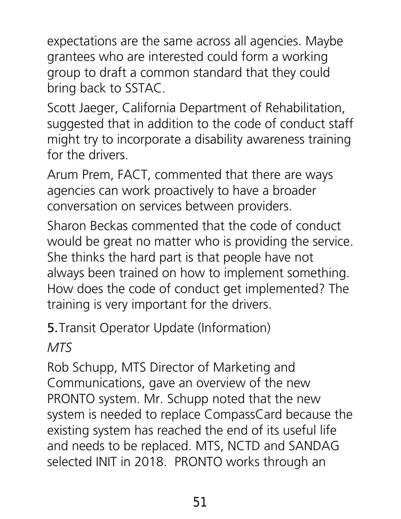expectations are the same across all agencies. Maybe grantees who are interested could form a working group to draft a common standard that they could bring back to SSTAC.

Scott Jaeger, California Department of Rehabilitation, suggested that in addition to the code of conduct staff might try to incorporate a disability awareness training for the drivers.

Arum Prem, FACT, commented that there are ways agencies can work proactively to have a broader conversation on services between providers.

Sharon Beckas commented that the code of conduct would be great no matter who is providing the service. She thinks the hard part is that people have not always been trained on how to implement something. How does the code of conduct get implemented? The training is very important for the drivers.

5.Transit Operator Update (Information)

*MTS* 

Rob Schupp, MTS Director of Marketing and Communications, gave an overview of the new PRONTO system. Mr. Schupp noted that the new system is needed to replace CompassCard because the existing system has reached the end of its useful life and needs to be replaced. MTS, NCTD and SANDAG selected INIT in 2018. PRONTO works through an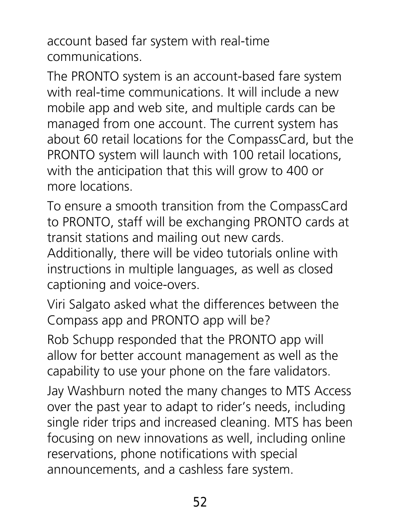account based far system with real-time communications.

The PRONTO system is an account-based fare system with real-time communications. It will include a new mobile app and web site, and multiple cards can be managed from one account. The current system has about 60 retail locations for the CompassCard, but the PRONTO system will launch with 100 retail locations, with the anticipation that this will grow to 400 or more locations.

To ensure a smooth transition from the CompassCard to PRONTO, staff will be exchanging PRONTO cards at transit stations and mailing out new cards. Additionally, there will be video tutorials online with instructions in multiple languages, as well as closed captioning and voice-overs.

Viri Salgato asked what the differences between the Compass app and PRONTO app will be?

Rob Schupp responded that the PRONTO app will allow for better account management as well as the capability to use your phone on the fare validators.

Jay Washburn noted the many changes to MTS Access over the past year to adapt to rider's needs, including single rider trips and increased cleaning. MTS has been focusing on new innovations as well, including online reservations, phone notifications with special announcements, and a cashless fare system.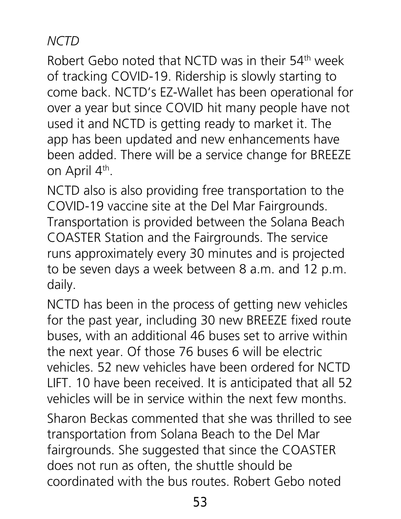#### *NCTD*

Robert Gebo noted that NCTD was in their 54<sup>th</sup> week of tracking COVID-19. Ridership is slowly starting to come back. NCTD's EZ-Wallet has been operational for over a year but since COVID hit many people have not used it and NCTD is getting ready to market it. The app has been updated and new enhancements have been added. There will be a service change for BREEZE on April 4<sup>th</sup>.

NCTD also is also providing free transportation to the COVID-19 vaccine site at the Del Mar Fairgrounds. Transportation is provided between the Solana Beach COASTER Station and the Fairgrounds. The service runs approximately every 30 minutes and is projected to be seven days a week between 8 a.m. and 12 p.m. daily.

NCTD has been in the process of getting new vehicles for the past year, including 30 new BREEZE fixed route buses, with an additional 46 buses set to arrive within the next year. Of those 76 buses 6 will be electric vehicles. 52 new vehicles have been ordered for NCTD LIFT. 10 have been received. It is anticipated that all 52 vehicles will be in service within the next few months.

Sharon Beckas commented that she was thrilled to see transportation from Solana Beach to the Del Mar fairgrounds. She suggested that since the COASTER does not run as often, the shuttle should be coordinated with the bus routes. Robert Gebo noted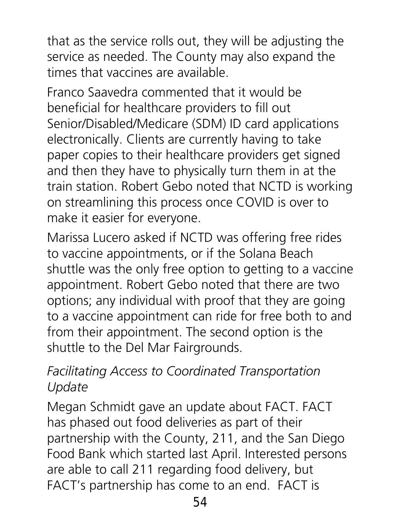that as the service rolls out, they will be adjusting the service as needed. The County may also expand the times that vaccines are available.

Franco Saavedra commented that it would be beneficial for healthcare providers to fill out Senior/Disabled/Medicare (SDM) ID card applications electronically. Clients are currently having to take paper copies to their healthcare providers get signed and then they have to physically turn them in at the train station. Robert Gebo noted that NCTD is working on streamlining this process once COVID is over to make it easier for everyone.

Marissa Lucero asked if NCTD was offering free rides to vaccine appointments, or if the Solana Beach shuttle was the only free option to getting to a vaccine appointment. Robert Gebo noted that there are two options; any individual with proof that they are going to a vaccine appointment can ride for free both to and from their appointment. The second option is the shuttle to the Del Mar Fairgrounds.

#### *Facilitating Access to Coordinated Transportation Update*

Megan Schmidt gave an update about FACT. FACT has phased out food deliveries as part of their partnership with the County, 211, and the San Diego Food Bank which started last April. Interested persons are able to call 211 regarding food delivery, but FACT's partnership has come to an end. FACT is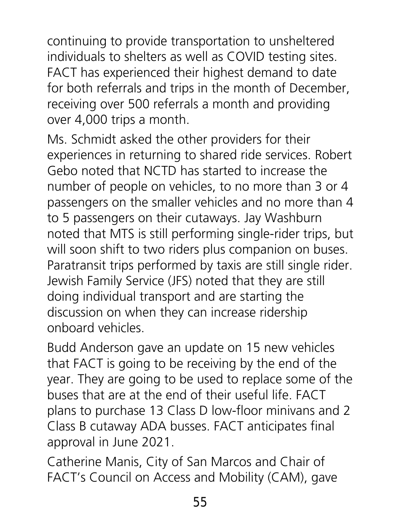continuing to provide transportation to unsheltered individuals to shelters as well as COVID testing sites. FACT has experienced their highest demand to date for both referrals and trips in the month of December, receiving over 500 referrals a month and providing over 4,000 trips a month.

Ms. Schmidt asked the other providers for their experiences in returning to shared ride services. Robert Gebo noted that NCTD has started to increase the number of people on vehicles, to no more than 3 or 4 passengers on the smaller vehicles and no more than 4 to 5 passengers on their cutaways. Jay Washburn noted that MTS is still performing single-rider trips, but will soon shift to two riders plus companion on buses. Paratransit trips performed by taxis are still single rider. Jewish Family Service (JFS) noted that they are still doing individual transport and are starting the discussion on when they can increase ridership onboard vehicles.

Budd Anderson gave an update on 15 new vehicles that FACT is going to be receiving by the end of the year. They are going to be used to replace some of the buses that are at the end of their useful life. FACT plans to purchase 13 Class D low-floor minivans and 2 Class B cutaway ADA busses. FACT anticipates final approval in June 2021.

Catherine Manis, City of San Marcos and Chair of FACT's Council on Access and Mobility (CAM), gave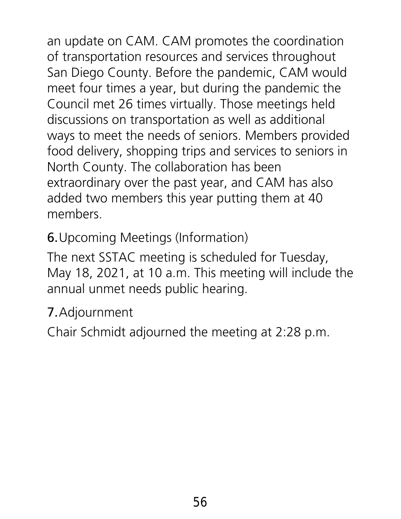an update on CAM. CAM promotes the coordination of transportation resources and services throughout San Diego County. Before the pandemic, CAM would meet four times a year, but during the pandemic the Council met 26 times virtually. Those meetings held discussions on transportation as well as additional ways to meet the needs of seniors. Members provided food delivery, shopping trips and services to seniors in North County. The collaboration has been extraordinary over the past year, and CAM has also added two members this year putting them at 40 members.

6.Upcoming Meetings (Information)

The next SSTAC meeting is scheduled for Tuesday, May 18, 2021, at 10 a.m. This meeting will include the annual unmet needs public hearing.

7.Adjournment

Chair Schmidt adjourned the meeting at 2:28 p.m.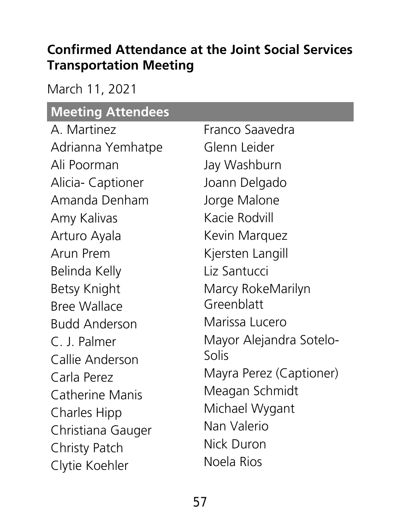#### **Confirmed Attendance at the Joint Social Services Transportation Meeting**

March 11, 2021

## **Meeting Attendees**

| A. Martinez            | Franco Saavedra         |
|------------------------|-------------------------|
| Adrianna Yemhatpe      | Glenn Leider            |
| Ali Poorman            | Jay Washburn            |
| Alicia- Captioner      | Joann Delgado           |
| Amanda Denham          | Jorge Malone            |
| Amy Kalivas            | Kacie Rodvill           |
| Arturo Ayala           | Kevin Marquez           |
| Arun Prem              | Kjersten Langill        |
| Belinda Kelly          | Liz Santucci            |
| <b>Betsy Knight</b>    | Marcy RokeMarilyn       |
| <b>Bree Wallace</b>    | Greenblatt              |
| <b>Budd Anderson</b>   | Marissa Lucero          |
| C. J. Palmer           | Mayor Alejandra Sotelo- |
| Callie Anderson        | Solis                   |
| Carla Perez            | Mayra Perez (Captioner) |
| <b>Catherine Manis</b> | Meagan Schmidt          |
| <b>Charles Hipp</b>    | Michael Wygant          |
| Christiana Gauger      | Nan Valerio             |
| <b>Christy Patch</b>   | Nick Duron              |
| Clytie Koehler         | Noela Rios              |